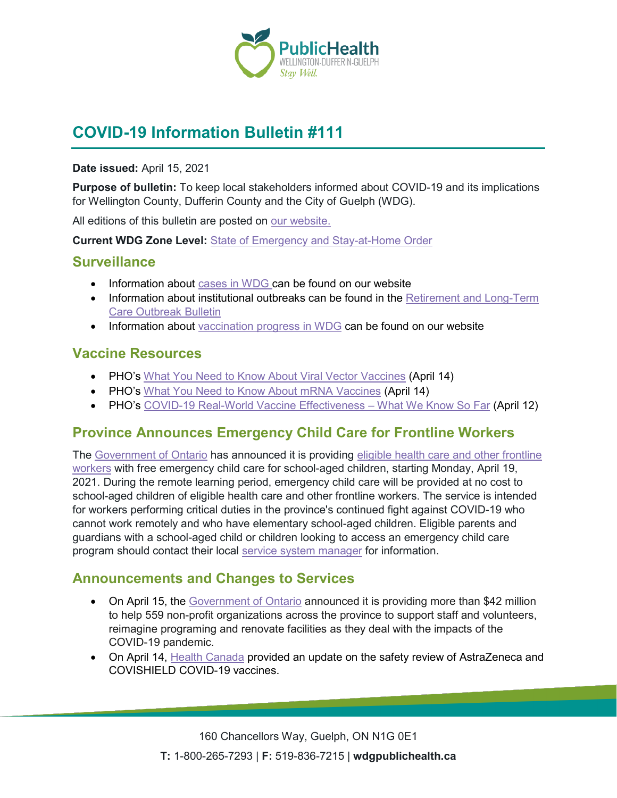

# **COVID-19 Information Bulletin #111**

#### **Date issued:** April 15, 2021

**Purpose of bulletin:** To keep local stakeholders informed about COVID-19 and its implications for Wellington County, Dufferin County and the City of Guelph (WDG).

All editions of this bulletin are posted on [our website.](https://www.wdgpublichealth.ca/your-health/covid-19-information-workplaces-and-living-spaces/community-stakeholder-bulletins)

**Current WDG Zone Level:** [State of Emergency and Stay-at-Home Order](https://www.ontario.ca/page/covid-19-provincewide-shutdown)

### **Surveillance**

- Information about [cases in WDG](https://wdgpublichealth.ca/your-health/covid-19-information-public/status-cases-wdg) can be found on our website
- Information about institutional outbreaks can be found in the Retirement and Long-Term [Care Outbreak Bulletin](https://wdgpublichealth.ca/node/1542)
- Information about [vaccination progress](https://www.wdgpublichealth.ca/your-health/covid-19-information-public/covid-19-vaccine-information-public) in WDG can be found on our website

### **Vaccine Resources**

- PHO's [What You Need to Know About Viral Vector Vaccines](https://www.publichealthontario.ca/-/media/documents/ncov/vaccines/2021/04/covid-19-fact-sheet-viral-vector-vaccines.pdf?la=en) (April 14)
- PHO's [What You Need to Know About mRNA Vaccines](https://www.publichealthontario.ca/-/media/documents/ncov/factsheet/2021/01/vac/factsheet-covid-19-vaccines.pdf?la=en) (April 14)
- PHO's [COVID-19 Real-World Vaccine Effectiveness –](https://www.publichealthontario.ca/-/media/documents/ncov/covid-wwksf/2021/04/wwksf-vaccine-effectiveness.pdf?la=en) What We Know So Far (April 12)

# **Province Announces Emergency Child Care for Frontline Workers**

The [Government of Ontario](https://news.ontario.ca/en/release/61164/ontario-announces-emergency-child-care-for-critical-frontline-workers) has announced it is providing [eligible health care and other frontline](https://news.ontario.ca/en/backgrounder/61162/ontario-provides-emergency-child-care-for-critical-frontline-workers)  [workers](https://news.ontario.ca/en/backgrounder/61162/ontario-provides-emergency-child-care-for-critical-frontline-workers) with free emergency child care for school-aged children, starting Monday, April 19, 2021. During the remote learning period, emergency child care will be provided at no cost to school-aged children of eligible health care and other frontline workers. The service is intended for workers performing critical duties in the province's continued fight against COVID-19 who cannot work remotely and who have elementary school-aged children. Eligible parents and guardians with a school-aged child or children looking to access an emergency child care program should contact their local [service system manager](https://can01.safelinks.protection.outlook.com/?url=http%3A%2F%2Fwww.edu.gov.on.ca%2Fchildcare%2FwebsiteServiceManagers.html&data=04%7C01%7C%7C4c5c5481cab34229e51f08d9001a450a%7C0928437e1ae24ba7afd16948fcb91c48%7C0%7C0%7C637540935089741675%7CUnknown%7CTWFpbGZsb3d8eyJWIjoiMC4wLjAwMDAiLCJQIjoiV2luMzIiLCJBTiI6Ik1haWwiLCJXVCI6Mn0%3D%7C1000&sdata=%2BhwLJkvgmbZqNcEwiA2oYnLW705aK%2Fu59LM%2FVJqf1pA%3D&reserved=0) for information.

### **Announcements and Changes to Services**

- On April 15, the [Government of Ontario](https://news.ontario.ca/en/release/61166/ontario-supporting-the-non-profit-sector-during-covid-19) announced it is providing more than \$42 million to help 559 non-profit organizations across the province to support staff and volunteers, reimagine programing and renovate facilities as they deal with the impacts of the COVID-19 pandemic.
- On April 14, [Health Canada](https://www.canada.ca/en/health-canada/news/2021/04/health-canada-provides-update-on-safety-review-of-astrazeneca-and-covishield-covid-19-vaccines.html) provided an update on the safety review of AstraZeneca and COVISHIELD COVID-19 vaccines.